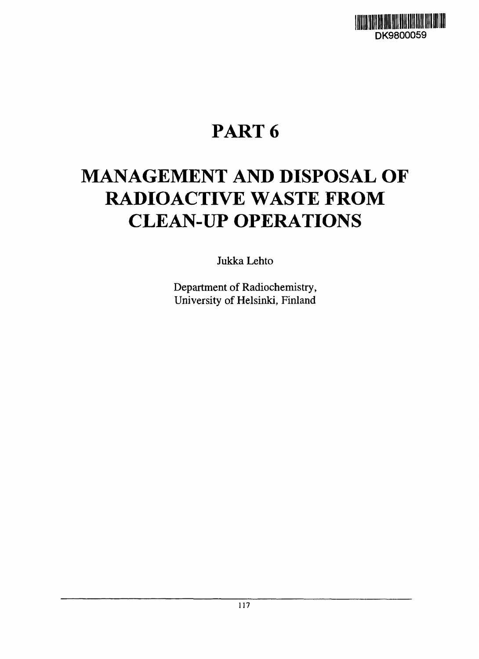

# **PART 6**

# **MANAGEMENT AND DISPOSAL OF RADIOACTIVE WASTE FROM CLEAN-UP OPERATIONS**

Jukka Lehto

Department of Radiochemistry, University of Helsinki, Finland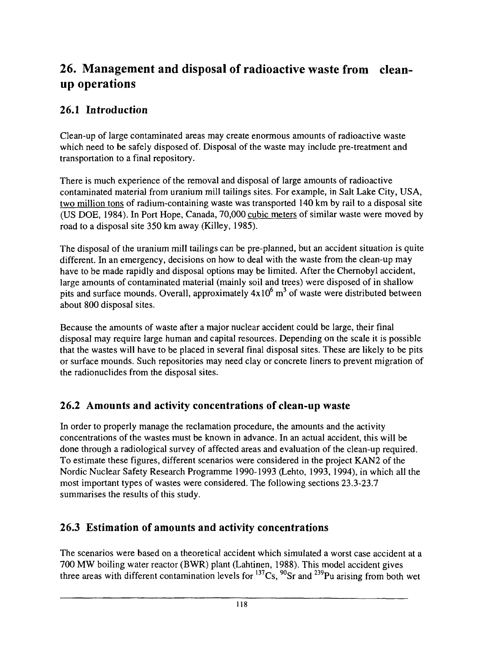## **26. Management and disposal of radioactive waste from cleanup operations**

## **26.1 Introduction**

Clean-up of large contaminated areas may create enormous amounts of radioactive waste which need to be safely disposed of. Disposal of the waste may include pre-treatment and transportation to a final repository.

There is much experience of the removal and disposal of large amounts of radioactive contaminated material from uranium mill tailings sites. For example, in Salt Lake City, USA, two million tons of radium-containing waste was transported 140 km by rail to a disposal site (US DOE, 1984). In Port Hope, Canada, 70,000 cubic meters of similar waste were moved by road to a disposal site 350 km away (Killey, 1985).

The disposal of the uranium mill tailings can be pre-planned, but an accident situation is quite different. In an emergency, decisions on how to deal with the waste from the clean-up may have to be made rapidly and disposal options may be limited. After the Chernobyl accident, large amounts of contaminated material (mainly soil and trees) were disposed of in shallow pits and surface mounds. Overall, approximately  $4x10^6$  m<sup>3</sup> of waste were distributed between about 800 disposal sites.

Because the amounts of waste after a major nuclear accident could be large, their final disposal may require large human and capital resources. Depending on the scale it is possible that the wastes will have to be placed in several final disposal sites. These are likely to be pits or surface mounds. Such repositories may need clay or concrete liners to prevent migration of the radionuclides from the disposal sites.

## 26.2 Amounts and activity concentrations of clean-up waste

In order to properly manage the reclamation procedure, the amounts and the activity concentrations of the wastes must be known in advance. In an actual accident, this will be done through a radiological survey of affected areas and evaluation of the clean-up required. To estimate these figures, different scenarios were considered in the project KAN2 of the Nordic Nuclear Safety Research Programme 1990-1993 (Lehto, 1993, 1994), in which all the most important types of wastes were considered. The following sections 23.3-23.7 summarises the results of this study.

## 26.3 Estimation of amounts and activity concentrations

The scenarios were based on a theoretical accident which simulated a worst case accident at a 700 MW boiling water reactor (BWR) plant (Lahtinen, 1988). This model accident gives three areas with different contamination levels for  $137Cs$ ,  $90Sr$  and  $239Pu$  arising from both we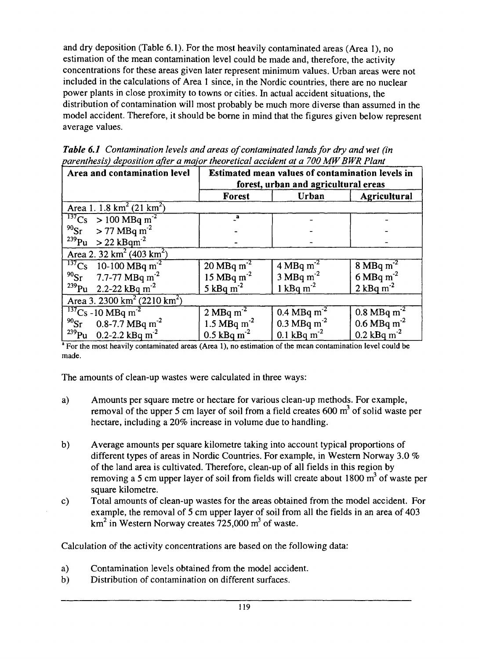and dry deposition (Table 6.1). For the most heavily contaminated areas (Area 1), no estimation of the mean contamination level could be made and, therefore, the activity concentrations for these areas given later represent minimum values. Urban areas were not included in the calculations of Area 1 since, in the Nordic countries, there are no nuclear power plants in close proximity to towns or cities. In actual accident situations, the distribution of contamination will most probably be much more diverse than assumed in the model accident. Therefore, it should be borne in mind that the figures given below represent average values.

|                              | forest, urban and agricultural ereas                                                      |
|------------------------------|-------------------------------------------------------------------------------------------|
| Area and contamination level | Estimated mean values of contamination levels in                                          |
|                              | parenthesis) deposition after a major theoretical accident at a 700 MW BWR Plant          |
|                              | <b>Table 6.1</b> Comamination levels and areas of contaminated fanas for ary and well (in |

*Table 6.1 Contamination levels and areas of contaminated lands for dry and wet (in*

|                                                                                                             | forest, urban and agricultural ereas |                           |                           |  |
|-------------------------------------------------------------------------------------------------------------|--------------------------------------|---------------------------|---------------------------|--|
|                                                                                                             | Forest                               | Urban                     | Agricultural              |  |
| Area 1. 1.8 $km^2$ (21 $km^2$ )                                                                             |                                      |                           |                           |  |
|                                                                                                             | a                                    |                           |                           |  |
|                                                                                                             |                                      |                           |                           |  |
| $\frac{137}{137}C_s > 100 MBq m^2$<br>$\frac{90}{239}C_s > 77 MBq m^2$<br>$\frac{239}{249}C_s > 22 kBq m^2$ |                                      |                           |                           |  |
| Area 2. $32 \text{ km}^2 (403 \text{ km}^2)$                                                                |                                      |                           |                           |  |
| $^{137}$ Cs 10-100 MBq m <sup>-2</sup><br><sup>90</sup> Sr 7.7-77 MBq m <sup>-2</sup>                       | 20 MBq $m^{-2}$                      | $4 MBq m-2$               | $8 \text{ MBq m}^{-2}$    |  |
|                                                                                                             | $15 \text{ MBq m}^{-2}$              | $3 MBq m-2$               | $6$ MBq m <sup>-2</sup>   |  |
| $^{239}$ Pu 2.2-22 kBq m <sup>-2</sup>                                                                      | 5 kBq $m^2$                          | 1 kBq $m^{-2}$            | 2 kBq $m^{-2}$            |  |
| Area 3. 2300 km <sup>2</sup> (2210 km <sup>2</sup> )                                                        |                                      |                           |                           |  |
|                                                                                                             | $2 \text{ MBq m}^2$                  | 0.4 MBq $m^{-2}$          | $0.8 \text{ MBq m}^{-2}$  |  |
| $\frac{137}{90}$ Cs -10 MBq m <sup>-2</sup><br><sup>90</sup> Sr 0.8-7.7 MBq m <sup>-2</sup>                 | 1.5 MBq m <sup>-2</sup>              | 0.3 MBq m <sup>-2</sup>   | $0.6$ MBq m <sup>-2</sup> |  |
| $^{239}$ Pu 0.2-2.2 kBq m <sup>-2</sup>                                                                     | $0.5$ kBq m <sup>-2</sup>            | $0.1$ kBq m <sup>-2</sup> | $0.2$ kBq m <sup>-2</sup> |  |
|                                                                                                             |                                      |                           |                           |  |

<sup>a</sup> For the most heavily contaminated areas (Area 1), no estimation of the mean contamination level could be made.

The amounts of clean-up wastes were calculated in three ways:

- a) Amounts per square metre or hectare for various clean-up methods. For example, removal of the upper 5 cm layer of soil from a field creates 600  $m<sup>3</sup>$  of solid waste per hectare, including a 20% increase in volume due to handling.
- b) Average amounts per square kilometre taking into account typical proportions of different types of areas in Nordic Countries. For example, in Western Norway 3.0 % of the land area is cultivated. Therefore, clean-up of all fields in this region by removing a 5 cm upper layer of soil from fields will create about 1800  $m^3$  of waste per square kilometre.
- c) Total amounts of clean-up wastes for the areas obtained from the model accident. For example, the removal of 5 cm upper layer of soil from all the fields in an area of 403 km<sup>2</sup> in Western Norway creates 725,000 m<sup>3</sup> of waste.

Calculation of the activity concentrations are based on the following data:

- a) Contamination levels obtained from the model accident.
- b) Distribution of contamination on different surfaces.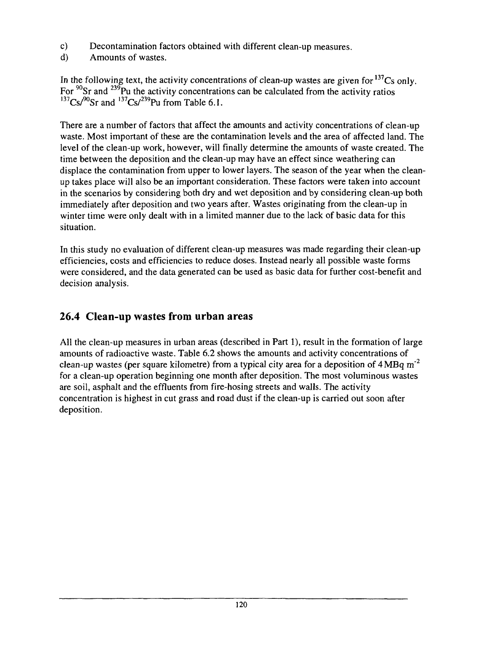- c) Decontamination factors obtained with different clean-up measures.
- d) Amounts of wastes.

In the following text, the activity concentrations of clean-up wastes are given for  $137Cs$  only. For <sup>90</sup>Sr and <sup>239</sup>Pu the activity concentrations can be calculated from the activity ratios  $^{137}Cs/^{90}Sr$  and  $^{137}Cs/^{239}Pu$  from Table 6.1.

There are a number of factors that affect the amounts and activity concentrations of clean-up waste. Most important of these are the contamination levels and the area of affected land. The level of the clean-up work, however, will finally determine the amounts of waste created. The time between the deposition and the clean-up may have an effect since weathering can displace the contamination from upper to lower layers. The season of the year when the cleanup takes place will also be an important consideration. These factors were taken into account in the scenarios by considering both dry and wet deposition and by considering clean-up both immediately after deposition and two years after. Wastes originating from the clean-up in winter time were only dealt with in a limited manner due to the lack of basic data for this situation.

In this study no evaluation of different clean-up measures was made regarding their clean-up efficiencies, costs and efficiencies to reduce doses. Instead nearly all possible waste forms were considered, and the data generated can be used as basic data for further cost-benefit and decision analysis.

## 26.4 Clean-up wastes from urban areas

All the clean-up measures in urban areas (described in Part 1), result in the formation of large amounts of radioactive waste. Table 6.2 shows the amounts and activity concentrations of clean-up wastes (per square kilometre) from a typical city area for a deposition of  $4MBq m<sup>-2</sup>$ for a clean-up operation beginning one month after deposition. The most voluminous wastes are soil, asphalt and the effluents from fire-hosing streets and walls. The activity concentration is highest in cut grass and road dust if the clean-up is carried out soon after deposition.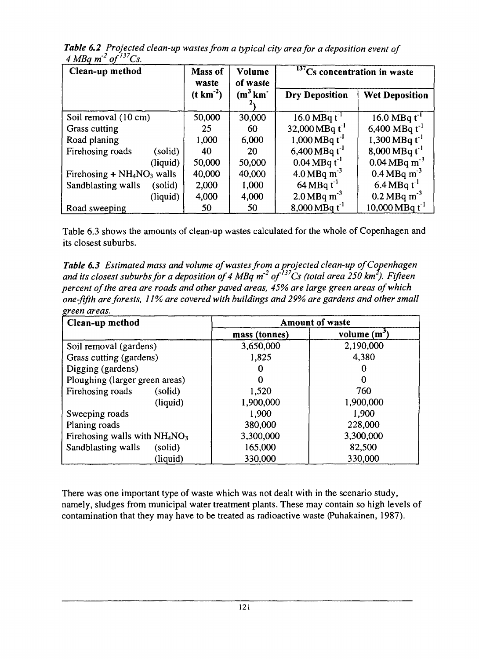| Clean-up method               | Mass of<br>Volume<br>of waste<br>waste |                         | $137Cs$ concentration in waste   |                                |  |
|-------------------------------|----------------------------------------|-------------------------|----------------------------------|--------------------------------|--|
|                               | $(t \text{ km}^{-2})$                  | $(m^3 \text{ km}^{-1})$ | <b>Dry Deposition</b>            | <b>Wet Deposition</b>          |  |
| Soil removal (10 cm)          | 50,000                                 | 30,000                  | 16.0 MBq $t^{-1}$                | 16.0 MBq $t^1$                 |  |
| Grass cutting                 | 25                                     | 60                      | 32,000 MBq $t^{-1}$              | 6,400 MBq $t^{-1}$             |  |
| Road planing                  | 1,000                                  | 6,000                   | $1,000 \text{ MBq t}^{-1}$       | 1,300 MBq $t^{-1}$             |  |
| Firehosing roads<br>(solid)   | 40                                     | 20                      | 6,400 MBq $t^{-1}$               | $8,000 \,\mathrm{MBq\,t}^{-1}$ |  |
| (liquid)                      | 50,000                                 | 50,000                  | $0.04 \text{ MBq} t^{-1}$        | $0.04 \text{ MBq m}^{-3}$      |  |
| Firehosing $+NH4NO3$ walls    | 40,000                                 | 40,000                  | $4.0$ MBq m <sup>-3</sup>        | 0.4 MBq m <sup>-3</sup>        |  |
| Sandblasting walls<br>(solid) | 2,000                                  | 1,000                   | $64 \text{ MBq}$ t <sup>-1</sup> | 6.4 MBq $t^{-1}$               |  |
| (liquid)                      | 4,000                                  | 4,000                   | $2.0$ MBq m <sup>-3</sup>        | $0.2 \,\mathrm{MBq \; m}^3$    |  |
| Road sweeping                 | 50                                     | 50                      | 8,000 MBq $t^{-1}$               | $10,000 \text{ MBq} t^{-1}$    |  |

*Table 6.2 Projected clean-up} wastes from a typical city area for a deposition event of 4 MBq m 2 of!37Cs.*

Table 6.3 shows the amounts of clean-up wastes calculated for the whole of Copenhagen and its closest suburbs.

*Table 6.3 Estimated mass and volume of wastes from a projected clean-up of Copenhagen and its closest suburbs for a deposition of 4 MBq m 2 of'<sup>37</sup>Cs (total area 250 km<sup>2</sup> ). Fifteen percent of the area are roads and other paved areas, 45% are large green areas of which one-fifth are forests, 11% are covered with buildings and 29% are gardens and other small green areas.*

| Clean-up method                | <b>Amount of waste</b> |                        |  |
|--------------------------------|------------------------|------------------------|--|
|                                | mass (tonnes)          | volume (m <sup>3</sup> |  |
| Soil removal (gardens)         | 3,650,000              | 2,190,000              |  |
| Grass cutting (gardens)        | 1,825                  | 4,380                  |  |
| Digging (gardens)              |                        |                        |  |
| Ploughing (larger green areas) |                        |                        |  |
| Firehosing roads<br>(solid)    | 1,520                  | 760                    |  |
| (liquid)                       | 1,900,000              | 1,900,000              |  |
| Sweeping roads                 | 1,900                  | 1,900                  |  |
| Planing roads                  | 380,000                | 228,000                |  |
| Firehosing walls with $NH4NO3$ | 3,300,000              | 3,300,000              |  |
| (solid)<br>Sandblasting walls  | 165,000                | 82,500                 |  |
| (liquid)                       | 330,000                | 330,000                |  |

There was one important type of waste which was not dealt with in the scenario study, namely, sludges from municipal water treatment plants. These may contain so high levels of contamination that they may have to be treated as radioactive waste (Puhakainen, 1987).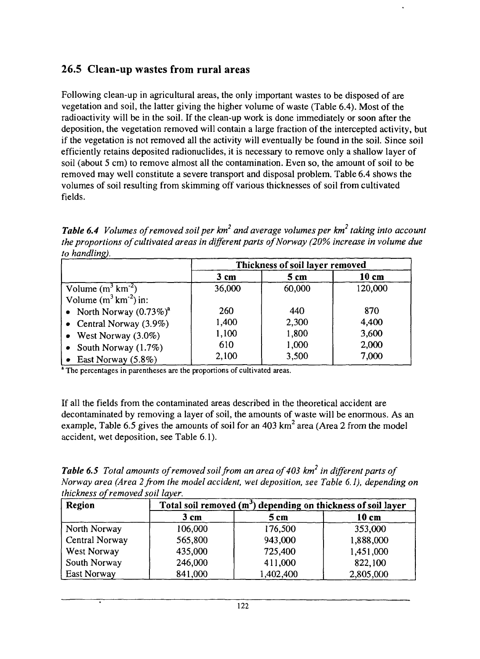## 26.5 Clean-up wastes from rural areas

Following clean-up in agricultural areas, the only important wastes to be disposed of are vegetation and soil, the latter giving the higher volume of waste (Table 6.4). Most of the radioactivity will be in the soil. If the clean-up work is done immediately or soon after the deposition, the vegetation removed will contain a large fraction of the intercepted activity, but if the vegetation is not removed all the activity will eventually be found in the soil. Since soil efficiently retains deposited radionuclides, it is necessary to remove only a shallow layer of soil (about 5 cm) to remove almost all the contamination. Even so, the amount of soil to be removed may well constitute a severe transport and disposal problem. Table 6.4 shows the volumes of soil resulting from skimming off various thicknesses of soil from cultivated fields.

*Table 6.4 Volumes of removed soil per km<sup>2</sup> and average volumes per km taking into account the proportions of cultivated areas in different parts of Norway (20% increase in volume due to handling).*

|                                 | Thickness of soil layer removed |        |                 |  |
|---------------------------------|---------------------------------|--------|-----------------|--|
|                                 | 3 cm                            | 5 cm   | $10 \text{ cm}$ |  |
| Volume $(m^3 \text{ km}^{-2})$  | 36,000                          | 60,000 | 120,000         |  |
| Volume $(m^3 \text{ km}^2)$ in: |                                 |        |                 |  |
| • North Norway $(0.73\%)^a$     | 260                             | 440    | 870             |  |
| • Central Norway $(3.9\%)$      | 1,400                           | 2,300  | 4,400           |  |
| • West Norway $(3.0\%)$         | 1,100                           | 1,800  | 3,600           |  |
| • South Norway $(1.7\%)$        | 610                             | 1,000  | 2,000           |  |
| • East Norway $(5.8\%)$         | 2,100                           | 3,500  | 7,000           |  |

<sup>a</sup> The percentages in parentheses are the proportions of cultivated areas.

If all the fields from the contaminated areas described in the theoretical accident are decontaminated by removing a layer of soil, the amounts of waste will be enormous. As an example, Table 6.5 gives the amounts of soil for an 403 km<sup>2</sup> area (Area 2 from the model accident, wet deposition, see Table 6.1).

*Table 6.5 Total amounts of removed soil from an area of 403 km<sup>2</sup> in different parts of Norway area (Area 2 from the model accident, wet deposition, see Table 6.1), depending on thickness of removed soil layer.*

| Region         | Total soil removed (m <sup>3</sup> ) depending on thickness of soil layer |                 |           |  |
|----------------|---------------------------------------------------------------------------|-----------------|-----------|--|
|                | 3 cm                                                                      | 5 <sub>cm</sub> | 10 cm     |  |
| North Norway   | 106,000                                                                   | 176,500         | 353,000   |  |
| Central Norway | 565,800                                                                   | 943,000         | 1,888,000 |  |
| West Norway    | 435,000                                                                   | 725,400         | 1,451,000 |  |
| South Norway   | 246,000                                                                   | 411,000         | 822,100   |  |
| East Norway    | 841,000                                                                   | 1,402,400       | 2,805,000 |  |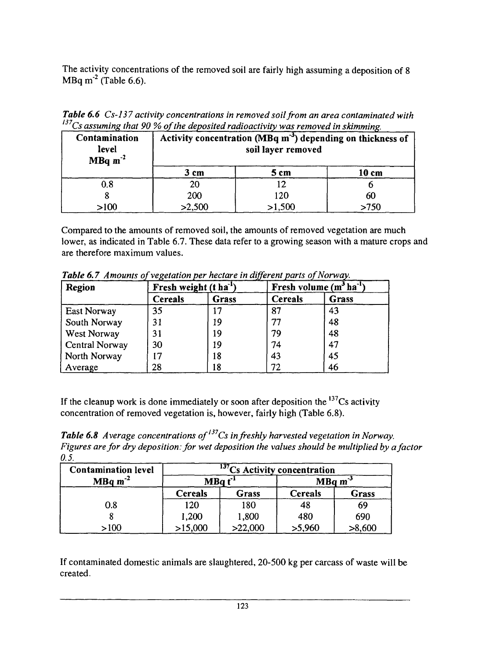The activity concentrations of the removed soil are fairly high assuming a deposition of 8  $MBq m<sup>-2</sup>$  (Table 6.6).

*Table 6.6 Cs-137 activity concentrations in removed soil from an area contaminated with* <u>Cs assuming that 90 % of the deposited radioactivity was removed in skimming.</u>

| Contamination<br>level<br>MBq $m^{-2}$ | Activity concentration (MBq m <sup>-3</sup> ) depending on thickness of<br>soil layer removed |        |      |  |  |
|----------------------------------------|-----------------------------------------------------------------------------------------------|--------|------|--|--|
|                                        | 5 cm<br>10 cm<br>3 cm                                                                         |        |      |  |  |
| 0.8                                    | 20                                                                                            |        |      |  |  |
|                                        | 200                                                                                           | 120    | 60   |  |  |
| >100                                   | >2,500                                                                                        | >1,500 | >750 |  |  |

Compared to the amounts of removed soil, the amounts of removed vegetation are much lower, as indicated in Table 6.7. These data refer to a growing season with a mature crops and are therefore maximum values.

| Region             |                 | Fresh weight $(t \text{ ha}^{-1})$ |                | Fresh volume $(m^3 ha^{-1})$ |
|--------------------|-----------------|------------------------------------|----------------|------------------------------|
|                    | <b>Cereals</b>  | Grass                              | <b>Cereals</b> | Grass                        |
| <b>East Norway</b> | 35              | רו                                 | 87             | 43                           |
| South Norway       | 31              | 19                                 | 77             | 48                           |
| West Norway        | 31              | 19                                 | 79             | 48                           |
| Central Norway     | 30              | 19                                 | 74             | 47                           |
| North Norway       | $\overline{17}$ | 18                                 | 43             | 45                           |
| Average            | 28              | 8                                  | 72             | 46                           |

*Table6.7 Amounts of vegetation per hectare in different parts of Norway.*

If the cleanup work is done immediately or soon after deposition the  $137Cs$  activity concentration of removed vegetation is, however, fairly high (Table 6.8).

*Table 6.8 Average concentrations of'<sup>37</sup>Cs in freshly harvested vegetation in Norway. Figures are for dry deposition: for wet deposition the values should be multiplied by a factor 0.5.*

| <b>Contamination level</b> | $137$ Cs Activity concentration |                    |                |                    |  |
|----------------------------|---------------------------------|--------------------|----------------|--------------------|--|
| $MBq m-2$                  |                                 | MBa t <sup>1</sup> |                | MBq m <sup>3</sup> |  |
|                            | <b>Cereals</b>                  | Grass              | <b>Cereals</b> | Grass              |  |
| 0.8                        | 120                             | 180                |                | 69                 |  |
|                            | 1,200                           | 1,800              | 480            | 690                |  |
| >100                       | >15,000                         | >22,000            | >5,960         | >8,600             |  |

If contaminated domestic animals are slaughtered, 20-500 kg per carcass of waste will be created.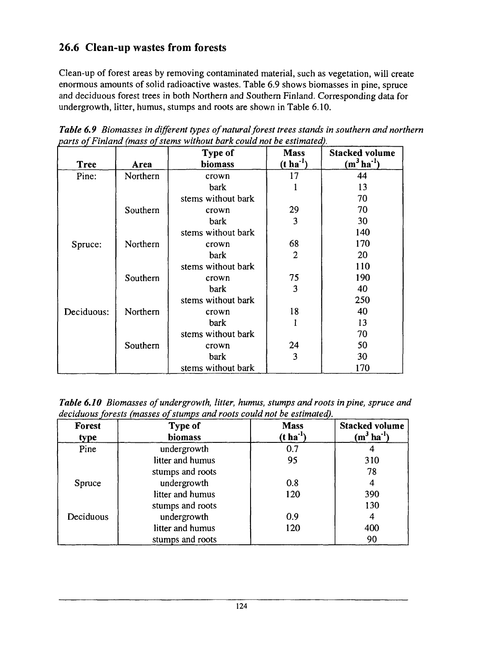## 26.6 Clean-up wastes from forests

Clean-up of forest areas by removing contaminated material, such as vegetation, will create enormous amounts of solid radioactive wastes. Table 6.9 shows biomasses in pine, spruce and deciduous forest trees in both Northern and Southern Finland. Corresponding data for undergrowth, litter, humus, stumps and roots are shown in Table 6.10.

|             |          | Type of            | <b>Mass</b>           | <b>Stacked volume</b> |
|-------------|----------|--------------------|-----------------------|-----------------------|
| <b>Tree</b> | Area     | biomass            | $(t \text{ ha}^{-1})$ | $(m^3 \, ha^{-1})$    |
| Pine:       | Northern | crown              | 17                    | 44                    |
|             |          | bark               |                       | 13                    |
|             |          | stems without bark |                       | 70                    |
|             | Southern | crown              | 29                    | 70                    |
|             |          | bark               | 3                     | 30                    |
|             |          | stems without bark |                       | 140                   |
| Spruce:     | Northern | crown              | 68                    | 170                   |
|             |          | bark               | $\overline{2}$        | 20                    |
|             |          | stems without bark |                       | 110                   |
|             | Southern | crown              | 75                    | 190                   |
|             |          | bark               | 3                     | 40                    |
|             |          | stems without bark |                       | 250                   |
| Deciduous:  | Northern | crown              | 18                    | 40                    |
|             |          | bark               |                       | 13                    |
|             |          | stems without bark |                       | 70                    |
|             | Southern | crown              | 24                    | 50                    |
|             |          | bark               | 3                     | 30                    |
|             |          | stems without bark |                       | 170                   |

*Table 6.9 Biomasses in different types of natural forest trees stands in southern and northern parts of Finland (mass of stems without bark could not be estimated).*

*Table 6.10 Biomasses of undergrowth, litter, humus, stumps and roots in pine, spruce and deciduous forests (masses of stumps and roots could not be estimated).*

| <b>Forest</b><br>type | <b>Type of</b><br><b>biomass</b> | <b>Mass</b><br>$(t \text{ ha}^{-1})$ | <b>Stacked volume</b><br>$(m^3 \text{ ha}^{-1})$ |
|-----------------------|----------------------------------|--------------------------------------|--------------------------------------------------|
| Pine                  | undergrowth                      | 0.7                                  |                                                  |
|                       | litter and humus                 | 95                                   | 310                                              |
|                       | stumps and roots                 |                                      | 78                                               |
| Spruce                | undergrowth                      | 0.8                                  |                                                  |
|                       | litter and humus                 | 120                                  | 390                                              |
|                       | stumps and roots                 |                                      | 130                                              |
| Deciduous             | undergrowth                      | 0.9                                  |                                                  |
|                       | litter and humus                 | 120                                  | 400                                              |
|                       | stumps and roots                 |                                      | 90                                               |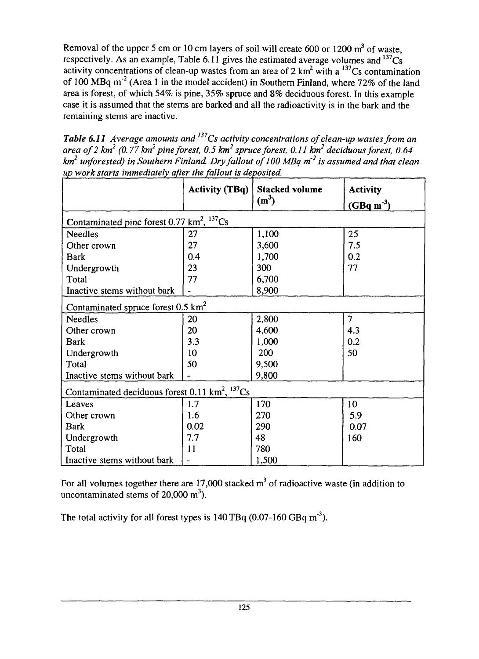Removal of the upper 5 cm or 10 cm layers of soil will create 600 or 1200  $m<sup>3</sup>$  of waste, respectively. As an example, Table 6.11 gives the estimated average volumes and  $137Cs$ activity concentrations of clean-up wastes from an area of 2 km<sup>2</sup> with a  $137Cs$  contamination of 100 MBq m<sup>-2</sup> (Area 1 in the model accident) in Southern Finland, where 72% of the land area is forest, of which 54% is pine, 35% spruce and 8% deciduous forest. In this example case it is assumed that the stems are barked and all the radioactivity is in the bark and the remaining stems are inactive.

*Table 6.11* Average amounts and <sup>137</sup>Cs activity concentrations of clean-up wastes from an *area of 2 km<sup>2</sup> (0.77 km<sup>2</sup> pine forest, 0.5 km<sup>2</sup> spruce forest, 0.11 km<sup>2</sup> deciduous forest, 0.64*  $km^2$  *unforested) in Southern Finland. Dry fallout of 100 MBq m<sup>-2</sup> is assumed and that clean up work starts immediately after the fallout is de posited.*

|                                                                        | <b>Activity (TBq)</b>    | <b>Stacked volume</b><br>$(m^3)$ | <b>Activity</b><br>$(GBq m-3)$ |  |
|------------------------------------------------------------------------|--------------------------|----------------------------------|--------------------------------|--|
| Contaminated pine forest 0.77 km <sup>2</sup> , <sup>137</sup> Cs      |                          |                                  |                                |  |
| <b>Needles</b>                                                         | 27                       | 1,100                            | 25                             |  |
| Other crown                                                            | 27                       | 3,600                            | 7.5                            |  |
| <b>Bark</b>                                                            | 0.4                      | 1,700                            | 0.2                            |  |
| Undergrowth                                                            | 23                       | 300                              | 77                             |  |
| Total                                                                  | 77                       | 6,700                            |                                |  |
| Inactive stems without bark                                            |                          | 8,900                            |                                |  |
| Contaminated spruce forest $0.5 \text{ km}^2$                          |                          |                                  |                                |  |
| <b>Needles</b>                                                         | 20                       | 2,800                            | $\overline{7}$                 |  |
| Other crown                                                            | 20                       | 4,600                            | 4.3                            |  |
| <b>Bark</b>                                                            | 3.3                      | 1,000                            | 0.2                            |  |
| Undergrowth                                                            | 10                       | 200                              | 50                             |  |
| Total                                                                  | 50                       | 9,500                            |                                |  |
| Inactive stems without bark                                            |                          | 9,800                            |                                |  |
| Contaminated deciduous forest 0.11 km <sup>2</sup> , <sup>137</sup> Cs |                          |                                  |                                |  |
| Leaves                                                                 | 1.7                      | 170                              | 10                             |  |
| Other crown                                                            | 1.6                      | 270                              | 5.9                            |  |
| <b>Bark</b>                                                            | 0.02                     | 290                              | 0.07                           |  |
| Undergrowth                                                            | 7.7                      | 48                               | 160                            |  |
| Total                                                                  | 11                       | 780                              |                                |  |
| Inactive stems without bark                                            | $\overline{\phantom{0}}$ | 1,500                            |                                |  |

For all volumes together there are 17,000 stacked  $m<sup>3</sup>$  of radioactive waste (in addition to uncontaminated stems of 20,000  $m<sup>3</sup>$ ).

The total activity for all forest types is  $140 \text{ TBq}$  (0.07-160 GBq m<sup>-3</sup>).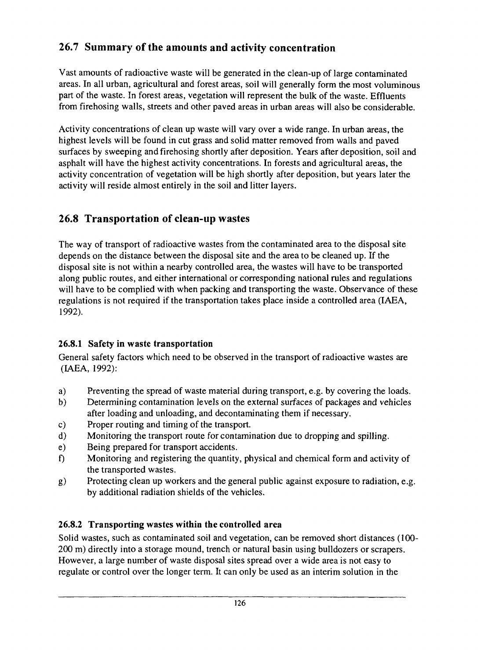## 26.7 Summary of the amounts and activity concentration

Vast amounts of radioactive waste will be generated in the clean-up of large contaminated areas. In all urban, agricultural and forest areas, soil will generally form the most voluminous part of the waste. In forest areas, vegetation will represent the bulk of the waste. Effluents from firehosing walls, streets and other paved areas in urban areas will also be considerable.

Activity concentrations of clean up waste will vary over a wide range. In urban areas, the highest levels will be found in cut grass and solid matter removed from walls and paved surfaces by sweeping and firehosing shortly after deposition. Years after deposition, soil and asphalt will have the highest activity concentrations. In forests and agricultural areas, the activity concentration of vegetation will be high shortly after deposition, but years later the activity will reside almost entirely in the soil and litter layers.

## 26.8 Transportation of clean-up wastes

The way of transport of radioactive wastes from the contaminated area to the disposal site depends on the distance between the disposal site and the area to be cleaned up. If the disposal site is not within a nearby controlled area, the wastes will have to be transported along public routes, and either international or corresponding national rules and regulations will have to be complied with when packing and transporting the waste. Observance of these regulations is not required if the transportation takes place inside a controlled area (IAEA, 1992).

### **26.8.1 Safety in waste transportation**

General safety factors which need to be observed in the transport of radioactive wastes are (IAEA, 1992):

- a) Preventing the spread of waste material during transport, e.g. by covering the loads.
- b) Determining contamination levels on the external surfaces of packages and vehicles after loading and unloading, and decontaminating them if necessary.
- c) Proper routing and timing of the transport.
- d) Monitoring the transport route for contamination due to dropping and spilling.
- e) Being prepared for transport accidents.
- f) Monitoring and registering the quantity, physical and chemical form and activity of the transported wastes.
- g) Protecting clean up workers and the general public against exposure to radiation, e.g. by additional radiation shields of the vehicles.

## **26.8.2 Transporting wastes within the controlled area**

Solid wastes, such as contaminated soil and vegetation, can be removed short distances (100- 200 m) directly into a storage mound, trench or natural basin using bulldozers or scrapers. However, a large number of waste disposal sites spread over a wide area is not easy to regulate or control over the longer term. It can only be used as an interim solution in the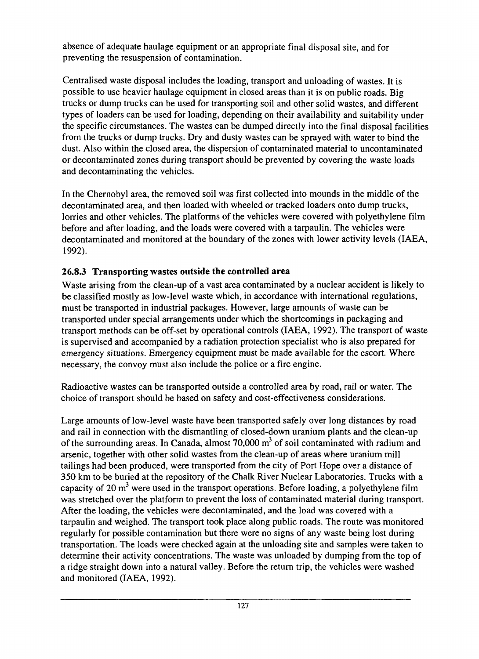absence of adequate haulage equipment or an appropriate final disposal site, and for preventing the resuspension of contamination.

Centralised waste disposal includes the loading, transport and unloading of wastes. It is possible to use heavier haulage equipment in closed areas than it is on public roads. Big trucks or dump trucks can be used for transporting soil and other solid wastes, and different types of loaders can be used for loading, depending on their availability and suitability under the specific circumstances. The wastes can be dumped directly into the final disposal facilities from the trucks or dump trucks. Dry and dusty wastes can be sprayed with water to bind the dust. Also within the closed area, the dispersion of contaminated material to uncontaminated or decontaminated zones during transport should be prevented by covering the waste loads and decontaminating the vehicles.

In the Chernobyl area, the removed soil was first collected into mounds in the middle of the decontaminated area, and then loaded with wheeled or tracked loaders onto dump trucks, lorries and other vehicles. The platforms of the vehicles were covered with polyethylene film before and after loading, and the loads were covered with a tarpaulin. The vehicles were decontaminated and monitored at the boundary of the zones with lower activity levels (IAEA, 1992).

#### **26.8.3 Transporting wastes outside the controlled area**

Waste arising from the clean-up of a vast area contaminated by a nuclear accident is likely to be classified mostly as low-level waste which, in accordance with international regulations, must be transported in industrial packages. However, large amounts of waste can be transported under special arrangements under which the shortcomings in packaging and transport methods can be off-set by operational controls (IAEA, 1992). The transport of waste is supervised and accompanied by a radiation protection specialist who is also prepared for emergency situations. Emergency equipment must be made available for the escort. Where necessary, the convoy must also include the police or a fire engine.

Radioactive wastes can be transported outside a controlled area by road, rail or water. The choice of transport should be based on safety and cost-effectiveness considerations.

Large amounts of low-level waste have been transported safely over long distances by road and rail in connection with the dismantling of closed-down uranium plants and the clean-up of the surrounding areas. In Canada, almost 70,000 m<sup>3</sup> of soil contaminated with radium and arsenic, together with other solid wastes from the clean-up of areas where uranium mill tailings had been produced, were transported from the city of Port Hope over a distance of 350 km to be buried at the repository of the Chalk River Nuclear Laboratories. Trucks with a capacity of 20  $m<sup>3</sup>$  were used in the transport operations. Before loading, a polyethylene film was stretched over the platform to prevent the loss of contaminated material during transport. After the loading, the vehicles were decontaminated, and the load was covered with a tarpaulin and weighed. The transport took place along public roads. The route was monitored regularly for possible contamination but there were no signs of any waste being lost during transportation. The loads were checked again at the unloading site and samples were taken to determine their activity concentrations. The waste was unloaded by dumping from the top of a ridge straight down into a natural valley. Before the return trip, the vehicles were washed and monitored (IAEA, 1992).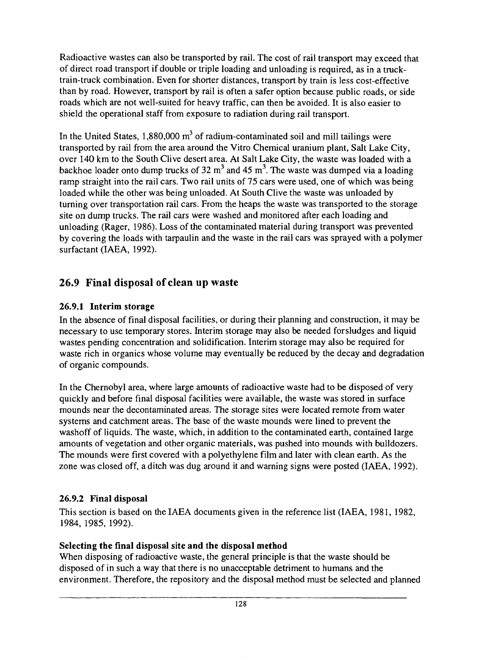Radioactive wastes can also be transported by rail. The cost of rail transport may exceed that of direct road transport if double or triple loading and unloading is required, as in a trucktrain-truck combination. Even for shorter distances, transport by train is less cost-effective than by road. However, transport by rail is often a safer option because public roads, or side roads which are not well-suited for heavy traffic, can then be avoided. It is also easier to shield the operational staff from exposure to radiation during rail transport.

In the United States, 1,880,000  $m^3$  of radium-contaminated soil and mill tailings were transported by rail from the area around the Vitro Chemical uranium plant, Salt Lake City, over 140 km to the South Clive desert area. At Salt Lake City, the waste was loaded with a backhoe loader onto dump trucks of 32 m<sup>3</sup> and 45 m<sup>3</sup>. The waste was dumped via a loading ramp straight into the rail cars. Two rail units of 75 cars were used, one of which was being loaded while the other was being unloaded. At South Clive the waste was unloaded by turning over transportation rail cars. From the heaps the waste was transported to the storage site on dump trucks. The rail cars were washed and monitored after each loading and unloading (Rager, 1986). Loss of the contaminated material during transport was prevented by covering the loads with tarpaulin and the waste in the rail cars was sprayed with a polymer surfactant (IAEA, 1992).

#### 26.9 Final disposal of clean up waste

#### **26.9.1 Interim storage**

In the absence of final disposal facilities, or during their planning and construction, it may be necessary to use temporary stores. Interim storage may also be needed forsludges and liquid wastes pending concentration and solidification. Interim storage may also be required for waste rich in organics whose volume may eventually be reduced by the decay and degradation of organic compounds.

In the Chernobyl area, where large amounts of radioactive waste had to be disposed of very quickly and before final disposal facilities were available, the waste was stored in surface mounds near the decontaminated areas. The storage sites were located remote from water systems and catchment areas. The base of the waste mounds were lined to prevent the washoff of liquids. The waste, which, in addition to the contaminated earth, contained large amounts of vegetation and other organic materials, was pushed into mounds with bulldozers. The mounds were first covered with a polyethylene film and later with clean earth. As the zone was closed off, a ditch was dug around it and warning signs were posted (IAEA, 1992).

#### **26.9.2 Final disposal**

This section is based on the IAEA documents given in the reference list (IAEA, 1981, 1982, 1984, 1985, 1992).

#### **Selecting the final disposal site and the disposal method**

When disposing of radioactive waste, the general principle is that the waste should be disposed of in such a way that there is no unacceptable detriment to humans and the environment. Therefore, the repository and the disposal method must be selected and planned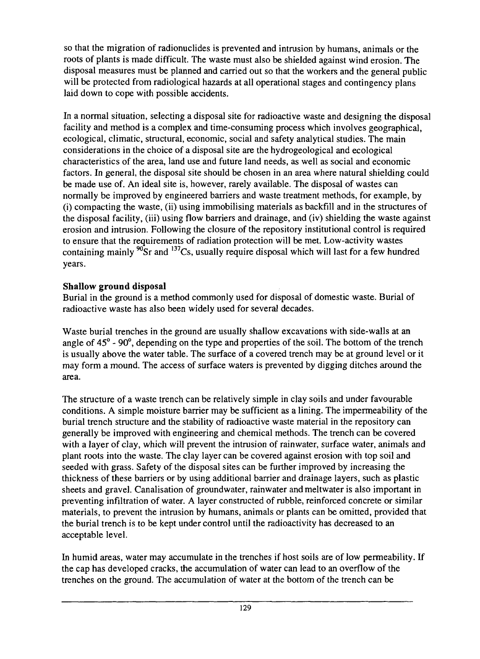so that the migration of radionuclides is prevented and intrusion by humans, animals or the roots of plants is made difficult. The waste must also be shielded against wind erosion. The disposal measures must be planned and carried out so that the workers and the general public will be protected from radiological hazards at all operational stages and contingency plans laid down to cope with possible accidents.

In a normal situation, selecting a disposal site for radioactive waste and designing the disposal facility and method is a complex and time-consuming process which involves geographical, ecological, climatic, structural, economic, social and safety analytical studies. The main considerations in the choice of a disposal site are the hydrogeological and ecological characteristics of the area, land use and future land needs, as well as social and economic factors. In general, the disposal site should be chosen in an area where natural shielding could be made use of. An ideal site is, however, rarely available. The disposal of wastes can normally be improved by engineered barriers and waste treatment methods, for example, by (i) compacting the waste, (ii) using immobilising materials as backfill and in the structures of the disposal facility, (iii) using flow barriers and drainage, and (iv) shielding the waste against erosion and intrusion. Following the closure of the repository institutional control is required to ensure that the requirements of radiation protection will be met. Low-activity wastes containing mainly  $^{90}$ Sr and  $^{137}$ Cs, usually require disposal which will last for a few hundred years.

#### **Shallow ground disposal**

Burial in the ground is a method commonly used for disposal of domestic waste. Burial of radioactive waste has also been widely used for several decades.

Waste burial trenches in the ground are usually shallow excavations with side-walls at an angle of 45<sup>°</sup> - 90<sup>°</sup>, depending on the type and properties of the soil. The bottom of the trench is usually above the water table. The surface of a covered trench may be at ground level or it may form a mound. The access of surface waters is prevented by digging ditches around the area.

The structure of a waste trench can be relatively simple in clay soils and under favourable conditions. A simple moisture barrier may be sufficient as a lining. The impermeability of the burial trench structure and the stability of radioactive waste material in the repository can generally be improved with engineering and chemical methods. The trench can be covered with a layer of clay, which will prevent the intrusion of rainwater, surface water, animals and plant roots into the waste. The clay layer can be covered against erosion with top soil and seeded with grass. Safety of the disposal sites can be further improved by increasing the thickness of these barriers or by using additional barrier and drainage layers, such as plastic sheets and gravel. Canalisation of groundwater, rainwater andmeltwater is also important in preventing infiltration of water. A layer constructed of rubble, reinforced concrete or similar materials, to prevent the intrusion by humans, animals or plants can be omitted, provided that the burial trench is to be kept under control until the radioactivity has decreased to an acceptable level.

In humid areas, water may accumulate in the trenches if host soils are of low permeability. If the cap has developed cracks, the accumulation of water can lead to an overflow of the trenches on the ground. The accumulation of water at the bottom of the trench can be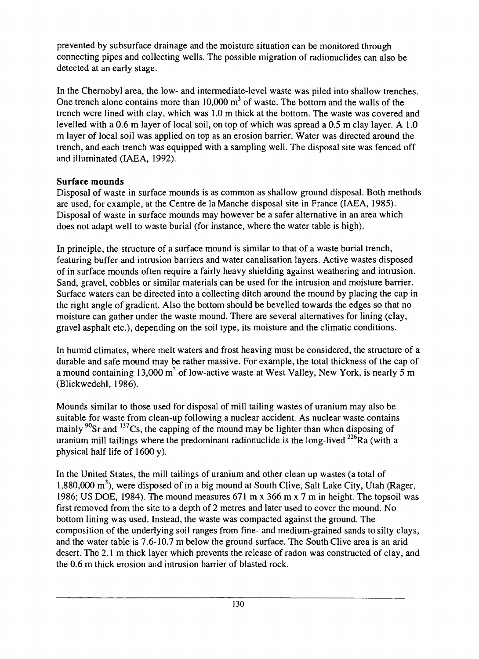prevented by subsurface drainage and the moisture situation can be monitored through connecting pipes and collecting wells. The possible migration of radionuclides can also be detected at an early stage.

In the Chernobyl area, the low- and intermediate-level waste was piled into shallow trenches. One trench alone contains more than  $10,000 \text{ m}^3$  of waste. The bottom and the walls of the trench were lined with clay, which was 1.0 m thick at the bottom. The waste was covered and levelled with a 0.6 m layer of local soil, on top of which was spread a 0.5 m clay layer. A 1.0 m layer of local soil was applied on top as an erosion barrier. Water was directed around the trench, and each trench was equipped with a sampling well. The disposal site was fenced off and illuminated (IAEA, 1992).

#### **Surface mounds**

Disposal of waste in surface mounds is as common as shallow ground disposal. Both methods are used, for example, at the Centre de laManche disposal site in France (IAEA, 1985). Disposal of waste in surface mounds may however be a safer alternative in an area which does not adapt well to waste burial (for instance, where the water table is high).

In principle, the structure of a surface mound is similar to that of a waste burial trench, featuring buffer and intrusion barriers and water canalisation layers. Active wastes disposed of in surface mounds often require a fairly heavy shielding against weathering and intrusion. Sand, gravel, cobbles or similar materials can be used for the intrusion and moisture barrier. Surface waters can be directed into a collecting ditch around the mound by placing the cap in the right angle of gradient. Also the bottom should be bevelled towards the edges so that no moisture can gather under the waste mound. There are several alternatives for lining (clay, gravel asphalt etc.), depending on the soil type, its moisture and the climatic conditions.

In humid climates, where melt waters and frost heaving must be considered, the structure of a durable and safe mound may be rather massive. For example, the total thickness of the cap of a mound containing 13,000 m<sup>3</sup> of low-active waste at West Valley, New York, is nearly 5 m (Blickwedehl, 1986).

Mounds similar to those used for disposal of mill tailing wastes of uranium may also be suitable for waste from clean-up following a nuclear accident. As nuclear waste contains mainly <sup>90</sup>Sr and <sup>137</sup>Cs, the capping of the mound may be lighter than when disposing of uranium mill tailings where the predominant radionuclide is the long-lived  $^{226}$ Ra (with a physical half life of 1600 y).

In the United States, the mill tailings of uranium and other clean up wastes (a total of 1,880,000 m<sup>3</sup>), were disposed of in a big mound at South Clive, Salt Lake City, Utah (Rager, 1986; US DOE, 1984). The mound measures 671 m x 366 m x 7 m in height. The topsoil was first removed from the site to a depth of 2 metres and later used to cover the mound. No bottom lining was used. Instead, the waste was compacted against the ground. The composition of the underlying soil ranges from fine- and medium-grained sands to silty clays, and the water table is 7.6-10.7 m below the ground surface. The South Clive area is an arid desert. The 2.1 m thick layer which prevents the release of radon was constructed of clay, and the 0.6 m thick erosion and intrusion barrier of blasted rock.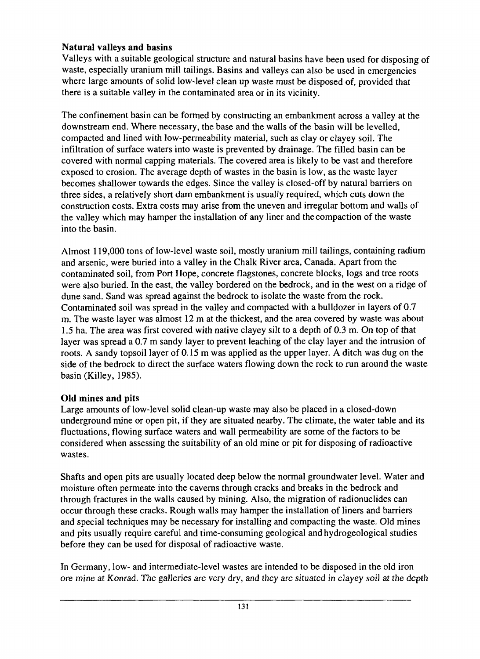#### **Natural valleys and basins**

Valleys with a suitable geological structure and natural basins have been used for disposing of waste, especially uranium mill tailings. Basins and valleys can also be used in emergencies where large amounts of solid low-level clean up waste must be disposed of, provided that there is a suitable valley in the contaminated area or in its vicinity.

The confinement basin can be formed by constructing an embankment across a valley at the downstream end. Where necessary, the base and the walls of the basin will be levelled, compacted and lined with low-permeability material, such as clay or clayey soil. The infiltration of surface waters into waste is prevented by drainage. The filled basin can be covered with normal capping materials. The covered area is likely to be vast and therefore exposed to erosion. The average depth of wastes in the basin is low, as the waste layer becomes shallower towards the edges. Since the valley is closed-off by natural barriers on three sides, a relatively short dam embankment is usually required, which cuts down the construction costs. Extra costs may arise from the uneven and irregular bottom and walls of the valley which may hamper the installation of any liner and the compaction of the waste into the basin.

Almost 119,000 tons of low-level waste soil, mostly uranium mill tailings, containing radium and arsenic, were buried into a valley in the Chalk River area, Canada. Apart from the contaminated soil, from Port Hope, concrete flagstones, concrete blocks, logs and tree roots were also buried. In the east, the valley bordered on the bedrock, and in the west on a ridge of dune sand. Sand was spread against the bedrock to isolate the waste from the rock. Contaminated soil was spread in the valley and compacted with a bulldozer in layers of 0.7 m. The waste layer was almost 12 m at the thickest, and the area covered by waste was about 1.5 ha. The area was first covered with native clayey silt to a depth of 0.3 m. On top of that layer was spread a 0.7 m sandy layer to prevent leaching of the clay layer and the intrusion of roots. A sandy topsoil layer of 0.15 m was applied as the upper layer. A ditch was dug on the side of the bedrock to direct the surface waters flowing down the rock to run around the waste basin (Killey, 1985).

#### **Old mines and pits**

Large amounts of low-level solid clean-up waste may also be placed in a closed-down underground mine or open pit, if they are situated nearby. The climate, the water table and its fluctuations, flowing surface waters and wall permeability are some of the factors to be considered when assessing the suitability of an old mine or pit for disposing of radioactive wastes.

Shafts and open pits are usually located deep below the normal groundwater level. Water and moisture often permeate into the caverns through cracks and breaks in the bedrock and through fractures in the walls caused by mining. Also, the migration of radionuclides can occur through these cracks. Rough walls may hamper the installation of liners and barriers and special techniques may be necessary for installing and compacting the waste. Old mines and pits usually require careful and time-consuming geological and hydrogeological studies before they can be used for disposal of radioactive waste.

In Germany, low- and intermediate-level wastes are intended to be disposed in the old iron ore mine at Konrad. The galleries are very dry, and they are situated in clayey soil at the depth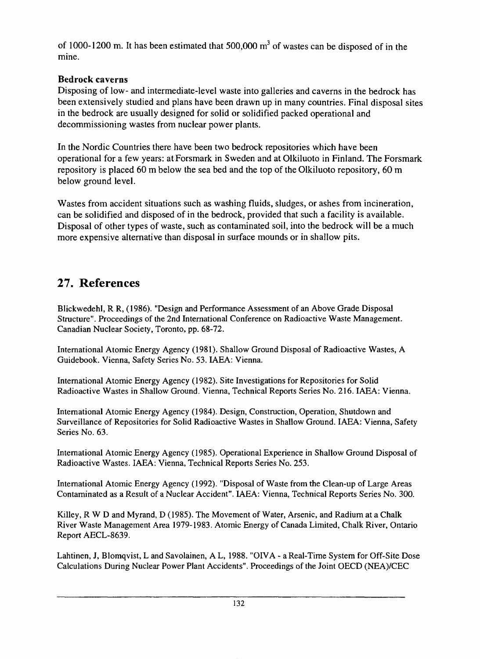of 1000-1200 m. It has been estimated that  $500,000 \text{ m}^3$  of wastes can be disposed of in the mine.

#### **Bedrock caverns**

Disposing of low- and intermediate-level waste into galleries and caverns in the bedrock has been extensively studied and plans have been drawn up in many countries. Final disposal sites in the bedrock are usually designed for solid or solidified packed operational and decommissioning wastes from nuclear power plants.

In the Nordic Countries there have been two bedrock repositories which have been operational for a few years: atForsmark in Sweden and at Olkiluoto in Finland. The Forsmark repository is placed 60 m below the sea bed and the top of the Olkiluoto repository, 60 m below ground level.

Wastes from accident situations such as washing fluids, sludges, or ashes from incineration, can be solidified and disposed of in the bedrock, provided that such a facility is available. Disposal of other types of waste, such as contaminated soil, into the bedrock will be a much more expensive alternative than disposal in surface mounds or in shallow pits.

## **27. References**

Blickwedehl, R R, (1986). "Design and Performance Assessment of an Above Grade Disposal Structure". Proceedings of the 2nd International Conference on Radioactive Waste Management. Canadian Nuclear Society, Toronto, pp. 68-72.

International Atomic Energy Agency (1981). Shallow Ground Disposal of Radioactive Wastes, A Guidebook. Vienna, Safety Series No. 53. IAEA: Vienna.

International Atomic Energy Agency (1982). Site Investigations for Repositories for Solid Radioactive Wastes in Shallow Ground. Vienna, Technical Reports Series No. 216. IAEA: Vienna.

International Atomic Energy Agency (1984). Design, Construction, Operation, Shutdown and Surveillance of Repositories for Solid Radioactive Wastes in Shallow Ground. IAEA: Vienna, Safety Series No. 63.

International Atomic Energy Agency (1985). Operational Experience in Shallow Ground Disposal of Radioactive Wastes. IAEA: Vienna, Technical Reports Series No. 253.

International Atomic Energy Agency (1992). "Disposal of Waste from the Clean-up of Large Areas Contaminated as a Result of a Nuclear Accident". IAEA: Vienna, Technical Reports Series No. 300.

Killey, R W D and Myrand, D (1985). The Movement of Water, Arsenic, and Radium at a Chalk River Waste Management Area 1979-1983. Atomic Energy of Canada Limited, Chalk River, Ontario Report AECL-8639.

Lahtinen, J, Blomqvist, L and Savolainen, A L, 1988. "OIVA - a Real-Time System for Off-Site Dose Calculations During Nuclear Power Plant Accidents". Proceedings of the Joint OECD (NEA)/CEC